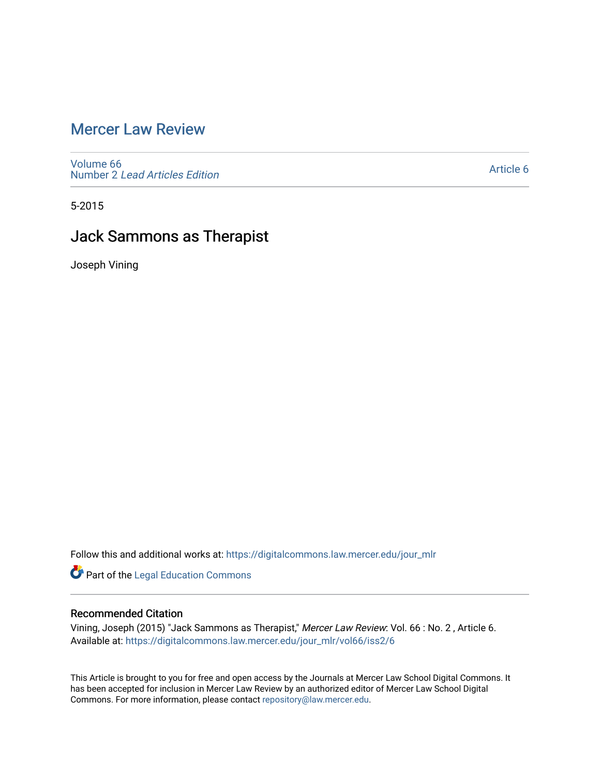# [Mercer Law Review](https://digitalcommons.law.mercer.edu/jour_mlr)

[Volume 66](https://digitalcommons.law.mercer.edu/jour_mlr/vol66) Number 2 [Lead Articles Edition](https://digitalcommons.law.mercer.edu/jour_mlr/vol66/iss2)

[Article 6](https://digitalcommons.law.mercer.edu/jour_mlr/vol66/iss2/6) 

5-2015

# Jack Sammons as Therapist

Joseph Vining

Follow this and additional works at: [https://digitalcommons.law.mercer.edu/jour\\_mlr](https://digitalcommons.law.mercer.edu/jour_mlr?utm_source=digitalcommons.law.mercer.edu%2Fjour_mlr%2Fvol66%2Fiss2%2F6&utm_medium=PDF&utm_campaign=PDFCoverPages)

Part of the [Legal Education Commons](http://network.bepress.com/hgg/discipline/857?utm_source=digitalcommons.law.mercer.edu%2Fjour_mlr%2Fvol66%2Fiss2%2F6&utm_medium=PDF&utm_campaign=PDFCoverPages) 

## Recommended Citation

Vining, Joseph (2015) "Jack Sammons as Therapist," Mercer Law Review: Vol. 66 : No. 2 , Article 6. Available at: [https://digitalcommons.law.mercer.edu/jour\\_mlr/vol66/iss2/6](https://digitalcommons.law.mercer.edu/jour_mlr/vol66/iss2/6?utm_source=digitalcommons.law.mercer.edu%2Fjour_mlr%2Fvol66%2Fiss2%2F6&utm_medium=PDF&utm_campaign=PDFCoverPages)

This Article is brought to you for free and open access by the Journals at Mercer Law School Digital Commons. It has been accepted for inclusion in Mercer Law Review by an authorized editor of Mercer Law School Digital Commons. For more information, please contact [repository@law.mercer.edu.](mailto:repository@law.mercer.edu)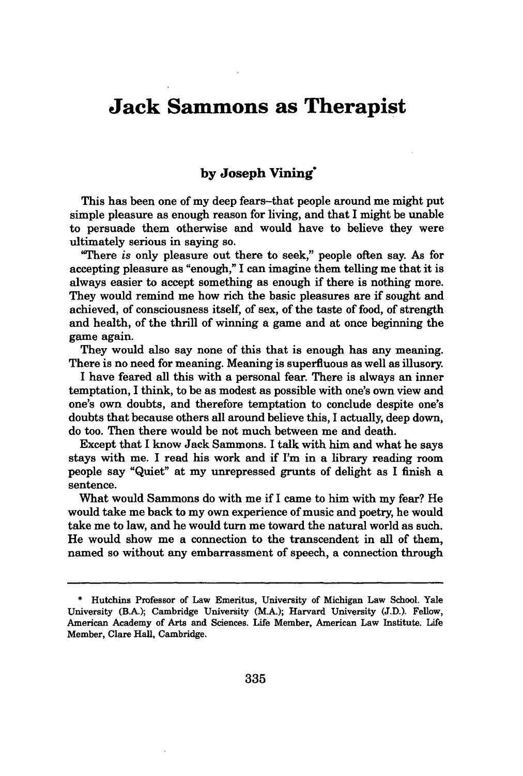# **Jack Sammons as Therapist**

## **by Joseph Vining"**

This has been one of my deep fears-that people around me might put simple pleasure as enough reason for living, and that **I** might be unable to persuade them otherwise and would have to believe they were ultimately serious in saying so.

"There *is* only pleasure out there to seek," people often say. As for accepting pleasure as "enough," I can imagine them telling me that it is always easier to accept something as enough if there is nothing more. They would remind me how rich the basic pleasures are if sought and achieved, of consciousness itself, of sex, of the taste of food, of strength and health, of the thrill of winning a game and at once beginning the game again.

They would also say none of this that is enough has any meaning. There is no need for meaning. Meaning is superfluous as **well** as illusory.

I have feared all this with a personal fear. There is always an inner temptation, I think, to be as modest as possible with one's own view and one's own doubts, and therefore temptation to conclude despite one's doubts that because others all around believe this, I actually, deep down, do too. Then there would be not much between me and death.

Except that **I** know Jack Sammons. I talk with him and what he says stays with me. I read his work and if I'm in a library reading room people say "Quiet" at my unrepressed grunts of delight as I finish a sentence.

What would Sammons do with me if I came to him with my fear? He would take me back to my own experience of music and poetry, he would take me to law, and he would turn me toward the natural world as such. He would show me a connection to the transcendent in all of them, named so without any embarrassment of speech, a connection through

**<sup>\*</sup>** Hutchins Professor of Law Emeritus, University of Michigan Law School. Yale University (B.A.); Cambridge University (M.A-); Harvard University **(J.D.).** Fellow, American Academy of Arts and Sciences. Life Member, American Law Institute. Life Member, Clare Hall, Cambridge.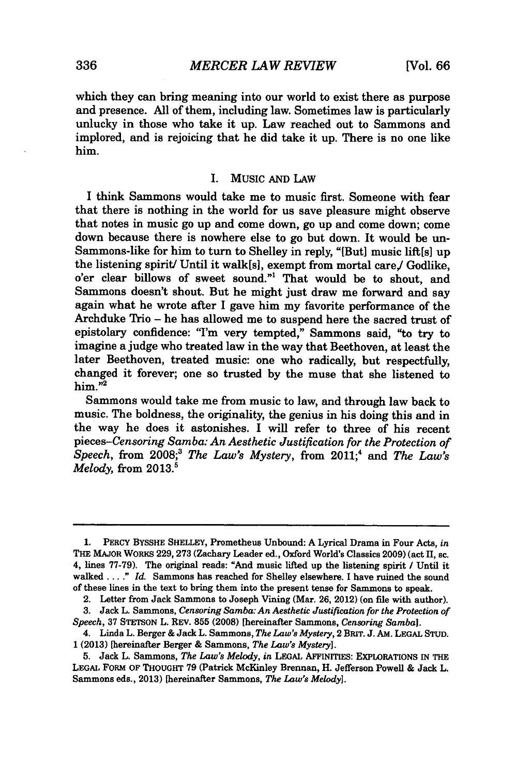which they can bring meaning into our world to exist there as purpose and presence. All of them, including law. Sometimes law is particularly unlucky in those who take it up. Law reached out to Sammons and implored, and is rejoicing that he did take it up. There is no one like him.

#### **I.** Music **AND** LAW

I think Sammons would take me to music first. Someone with fear that there is nothing in the world for us save pleasure might observe that notes in music go up and come down, go up and come down; come down because there is nowhere else to go but down. It would be un-Sammons-like for him to turn to Shelley in reply, "[But] music lift[s] up the listening spirit/ Until it walk[s], exempt from mortal care/ Godlike, o'er clear billows of sweet sound."1 That would be to shout, and Sammons doesn't shout. But he might just draw me forward and say again what he wrote after I gave him my favorite performance of the Archduke Trio - he has allowed me to suspend here the sacred trust of epistolary confidence: "I'm very tempted," Sammons said, "to try to imagine a judge who treated law in the way that Beethoven, at least the later Beethoven, treated music: one who radically, but respectfully, changed it forever; one so trusted by the muse that she listened to 2 him."2

Sammons would take me from music to law, and through law back to music. The boldness, the originality, the genius in his doing this and in the way he does it astonishes. I will refer to three of his recent *pieces-Censoring Samba: An Aesthetic Justification for the Protection of Speech,* from **2008;3** *The Law's Mystery,* from 2011;4 and *The Law's Melody*, from 2013.<sup>5</sup>

**<sup>1.</sup>** PERcY BYSSHE **SHELLEY,** Prometheus Unbound: **A** Lyrical Drama in Four Acts, *in* THE MAJOR WORKS **229, 273** (Zachary Leader ed., Oxford World's Classics **2009)** (act **II,** sc. 4, lines **77-79).** The original reads: "And music lifted up the listening spirit */* Until it *walked... ." Id.* Sammons has reached for Shelley elsewhere. **I** have ruined the sound of these lines in the text to bring them into the present tense for Sammons to speak.

<sup>2.</sup> Letter from Jack Sammons to Joseph Vining (Mar. **26, 2012)** (on file with author).

**<sup>3.</sup>** Jack L. Sammons, *Censoring Samba: An Aesthetic Justification for the Protection of Speech,* **37 STETSON** L. REV. **855 (2008)** [hereinafter Sammons, *Censoring Samba].*

<sup>4.</sup> Linda L. Berger **&** Jack L. Sammons, *The Law's Mystery,* 2 **BRIT. J. AM. LEGAL STUD.** <sup>1</sup>**(2013)** [hereinafter Berger **&** Sammons, *The Law's Mystery].*

**<sup>5.</sup>** Jack L. Sammons, *The Law's Melody, in* **LEGAL** AFFINITIES: EXPLORATIONS **IN** THE **LEGAL** FoRM OF THOUGHT **79** (Patrick McKinley Brennan, H. Jefferson Powell **&** Jack L. Sammons eds., **2013)** [hereinafter Sammons, *The Law's Melody].*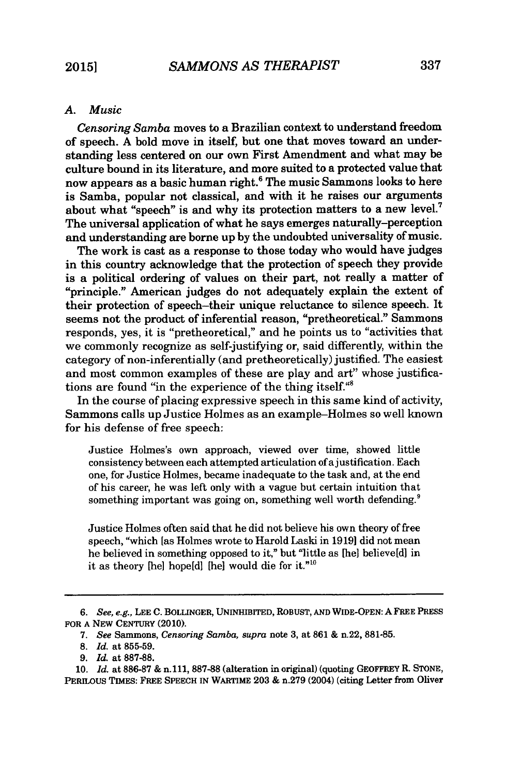### *A. Music*

*Censoring Samba* moves to a Brazilian context to understand freedom of speech. A bold move in itself, but one that moves toward an understanding less centered on our own First Amendment and what may be culture bound in its literature, and more suited to a protected value that now appears as a basic human right.<sup>6</sup> The music Sammons looks to here is Samba, popular not classical, and with it he raises our arguments about what "speech" is and why its protection matters to a new level.<sup>7</sup> The universal application of what he says emerges naturally-perception and understanding are borne up by the undoubted universality of music.

The work is cast as a response to those today who would have judges in this country acknowledge that the protection of speech they provide is a political ordering of values on their part, not really a matter of "principle." American judges do not adequately explain the extent of their protection of speech-their unique reluctance to silence speech. It seems not the product of inferential reason, "pretheoretical." Sammons responds, yes, it is "pretheoretical," and he points us to "activities that we commonly recognize as self-justifying or, said differently, within the category of non-inferentially (and pretheoretically) justified. The easiest and most common examples of these are play and art" whose justifications are found "in the experience of the thing itself."8

In the course of placing expressive speech in this same kind of activity, Sammons calls up Justice Holmes as an example-Holmes so well known for his defense of free speech:

Justice Holmes's own approach, viewed over time, showed little consistency between each attempted articulation of ajustification. Each one, for Justice Holmes, became inadequate to the task and, at the end of his career, he was left only with a vague but certain intuition that something important was going on, something well worth defending.<sup>9</sup>

Justice Holmes often said that he did not believe his own theory of free speech, "which **[as** Holmes wrote to Harold Laski in 1919] did not mean he believed in something opposed to it," but "little as [he] believe[d] in it as theory [he] hope[d] [he] would die for it.""0

*<sup>6.</sup> See, e.g.,* **LEE C.** BOLLINGER, UNINHIBITED, ROBUST, **AND** WIDE-OPEN: AFREE PRESS FOR **A** NEw CENTURY (2010).

**<sup>7.</sup>** *See* Sammons, *Censoring Samba, supra* note **3,** at 861 **&** n.22, 881-85.

**<sup>8.</sup>** *Id.* at **855-59.**

**<sup>9.</sup>** *Id.* at **887-88.**

**<sup>10.</sup>** *Id.* at **886-87 &** n.111, **887-88** (alteration in original) (quoting GEOFFREY R. **STONE,** PERILOUS TIMES: FREE **SPEECH IN** WARTIME **203 &** n.279 (2004) (citing Letter from Oliver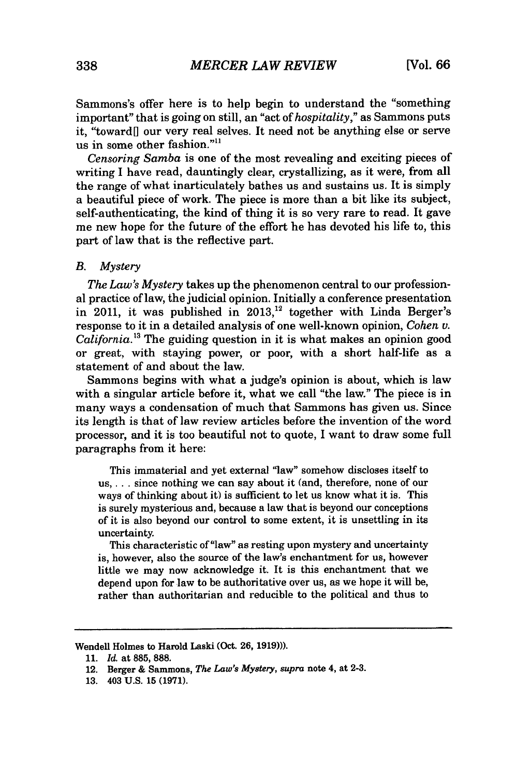Sammons's offer here is to help begin to understand the "something important" that is going on still, an "act of *hospitality,"* as Sammons puts it, "toward[] our very real selves. It need not be anything else or serve us in some other fashion." $11$ 

*Censoring Samba* is one of the most revealing and exciting pieces of writing I have read, dauntingly clear, crystallizing, as it were, from all the range of what inarticulately bathes us and sustains us. It is simply a beautiful piece of work. The piece is more than a bit like its subject, self-authenticating, the kind of thing it is so very rare to read. It gave me new hope for the future of the effort he has devoted his life to, this part of law that is the reflective part.

### *B. Mystery*

*The Law's Mystery* takes up the phenomenon central to our professional practice of law, the judicial opinion. Initially a conference presentation in 2011, it was published in  $2013$ ,<sup>12</sup> together with Linda Berger's response to it in a detailed analysis of one well-known opinion, *Cohen v. California.13* The guiding question in it is what makes an opinion good or great, with staying power, or poor, with a short half-life as a statement of and about the law.

Sammons begins with what a judge's opinion is about, which is law with a singular article before it, what we call "the law." The piece is in many ways a condensation of much that Sammons has given us. Since its length is that of law review articles before the invention of the word processor, and it is too beautiful not to quote, I want to draw some full paragraphs from it here:

This immaterial and yet external 'law" somehow discloses itself to us, .. . since nothing we can say about it (and, therefore, none of our ways of thinking about it) is sufficient to let us know what it is. This is surely mysterious and, because a law that is beyond our conceptions of it is also beyond our control to some extent, it is unsettling in its uncertainty.

This characteristic of "law" as resting upon mystery and uncertainty is, however, also the source of the law's enchantment for us, however little we may now acknowledge it. It is this enchantment that we depend upon for law to be authoritative over us, as we hope it will be, rather than authoritarian and reducible to the political and thus to

Wendell Holmes to Harold Laski (Oct. **26, 1919))).**

**<sup>11.</sup>** *Id.* at **885, 888.**

<sup>12.</sup> Berger & Sammons, *The Law's Mystery, supra* note 4, at **2-3.**

**<sup>13.</sup>** 403 **U.S. 15 (1971).**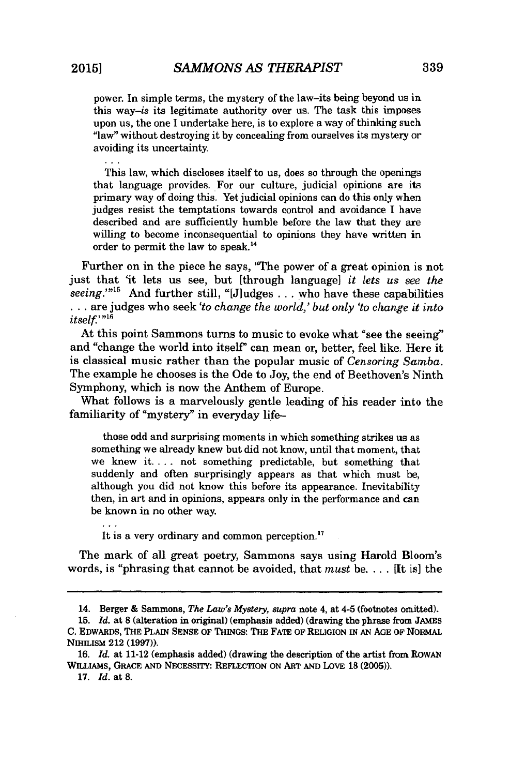power. In simple terms, the mystery of the law-its being beyond us in this way-is its legitimate authority over us. The task this imposes upon us, the one I undertake here, is to explore a way of thinking such "law" without destroying it by concealing from ourselves its mystery or avoiding its uncertainty.

This law, which discloses itself to us, does so through the openings that language provides. For our culture, judicial opinions are its primary way of doing this. Yet judicial opinions can do this only when judges resist the temptations towards control and avoidance I have described and are sufficiently humble before the law that they are willing to become inconsequential to opinions they have written in order to permit the law to speak.<sup>14</sup>

Further on in the piece he says, "The power of a great opinion is not just that 'it lets us see, but [through language] *it lets us see the seeing.""' <sup>5</sup>*And further still, "[Jiudges . .. who have these capabilities **. .** . are judges who seek *'to change the world,' but only 'to change it into itself.*<sup>'"16</sup>

At this point Sammons turns to music to evoke what "see the seeing" and "change the world into itself" can mean or, better, feel like. Here it is classical music rather than the popular music of *Censoring Samba.* The example he chooses is the Ode to Joy, the end of Beethoven's Ninth Symphony, which is now the Anthem of Europe.

What follows is a marvelously gentle leading of his reader into the familiarity of "mystery" in everyday life-

those odd and surprising moments in which something strikes us as something we already knew but did not know, until that moment, that we knew it **....** not something predictable, but something that suddenly and often surprisingly appears as that which must be, although you did not know this before its appearance. Inevitability then, in art and in opinions, appears only in the performance and can be known in no other way.

It is a very ordinary and common perception.<sup>17</sup>

The mark of all great poetry, Sammons says using Harold Bloom's words, is "phrasing that cannot be avoided, that *must* be... . **[It** is] the

**17.** *Id.* at **8.**

 $\mathbf{1}$ 

<sup>14.</sup> Berger & Sammons, *The Law's Mystery, supra* note 4, at 4-5 (footnotes omitted).

<sup>15.</sup> *Id.* at 8 (alteration in original) (emphasis added) (drawing the phrase from JAMES **C.** EDWARDS, THE PLAIN **SENSE** OF THINGS: THE FATE OF RELIGION IN *AN* **AGE** OF NORMAL NIHILISM 212 (1997)).

**<sup>16.</sup>** *Id.* at 11-12 (emphasis added) (drawing the description of the artist from ROWAN WILLIAMS, **GRACE** AND NECESSITY: REFLECTION ON ART AND LOVE 18 (2005)).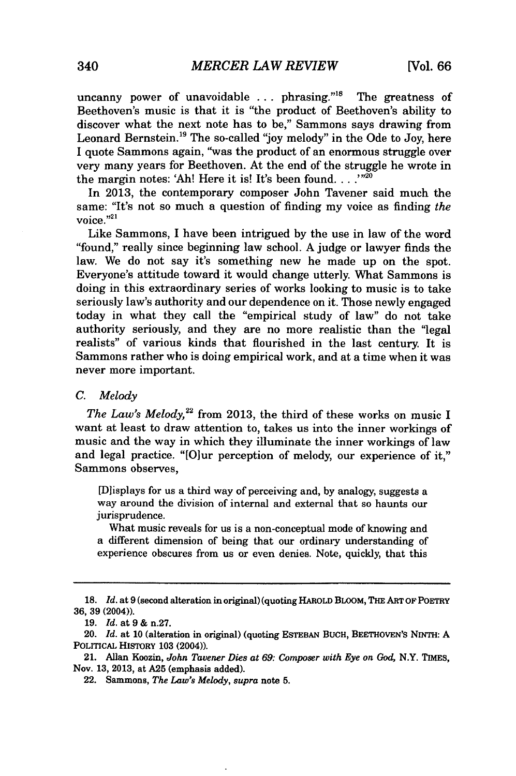uncanny power of unavoidable  $\ldots$  phrasing.<sup> $n8$ </sup> The greatness of Beethoven's music is that it is "the product of Beethoven's ability to discover what the next note has to be," Sammons says drawing from Leonard Bernstein.<sup>19</sup> The so-called "joy melody" in the Ode to Joy, here I quote Sammons again, "was the product of an enormous struggle over very many years for Beethoven. At the end of the struggle he wrote in the margin notes: 'Ah! Here it is! It's been found. . . . "<sup>20</sup>

In 2013, the contemporary composer John Tavener said much the same: "It's not so much a question of finding my voice as finding *the* voice."21

Like Sammons, I have been intrigued **by** the use in law of the word "found," really since beginning law school. **A** judge or lawyer finds the law. We do not say it's something new he made up on the spot. Everyone's attitude toward it would change utterly. What Sammons is doing in this extraordinary series of works looking to music is to take seriously law's authority and our dependence on it. Those newly engaged today in what they call the "empirical study of law" do not take authority seriously, and they are no more realistic than the "legal realists" of various kinds that flourished in the last century. It is Sammons rather who is doing empirical work, and at a time when it was never more important.

#### *C. Melody*

*The Law's Melody*,<sup>22</sup> from 2013, the third of these works on music I want at least to draw attention to, takes us into the inner workings of music and the way in which they illuminate the inner workings of law and legal practice. "[Olur perception of melody, our experience of it," Sammons observes,

[Dlisplays for us a third way of perceiving and, **by** analogy, suggests a way around the division of internal and external that so haunts our jurisprudence.

What music reveals for us is a non-conceptual mode of knowing and a different dimension of being that our ordinary understanding of experience obscures from us or even denies. Note, quickly, that this

**<sup>18.</sup>** *Id.* at **9** (second alteration in original) **(quoting HAROLD** BLOOM, **THE** ART **OF** POETRY **36, 39** (2004)).

**<sup>19.</sup>** *Id.* **at 9 &** n.27.

<sup>20.</sup> *Id.* at **10** (alteration in original) (quoting **ESTESBAN BUCH,** BEETHOvEN's NrNTH: **A POLITIcAL HISTORY 103 (2004)).**

<sup>21.</sup> Allan Koozin, *John Tavener Dies at 69: Composer with Eye on God,* N.Y. **TIMEs, Nov. 13, 2013, at A25** (emphasis added).

**<sup>22.</sup> Sammons,** *The Law's Melody, supra* **note 5.**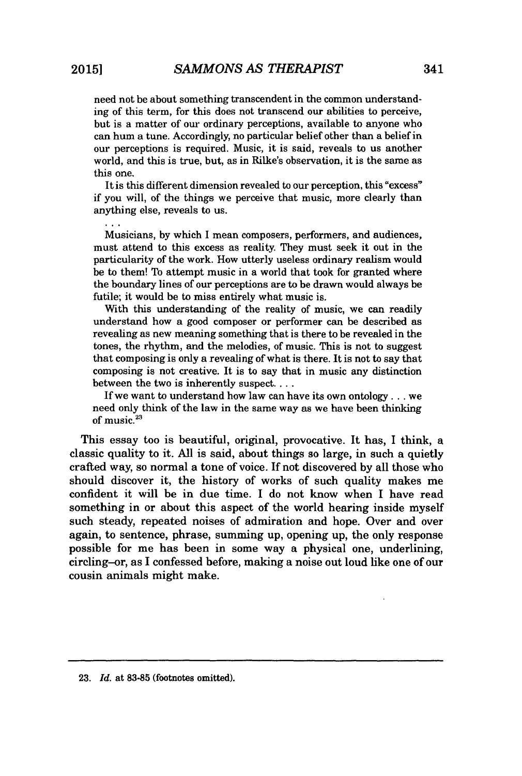need not be about something transcendent in the common understanding of this term, for this does not transcend our abilities to perceive, but is a matter of our ordinary perceptions, available to anyone who can hum a tune. Accordingly, no particular belief other than a belief in our perceptions is required. Music, it is said, reveals to us another world, and this is true, but, as in Rilke's observation, it is the same as this one.

It is this different dimension revealed to our perception, this "excess" if you will, of the things we perceive that music, more clearly than anything else, reveals to us.

Musicians, by which I mean composers, performers, and audiences, must attend to this excess as reality. They must seek it out in the particularity of the work. How utterly useless ordinary realism would be to them! To attempt music in a world that took for granted where the boundary lines of our perceptions are to be drawn would always be futile; it would be to miss entirely what music is.

With this understanding of the reality of music, we can readily understand how a good composer or performer can be described as revealing as new meaning something that is there to be revealed in the tones, the rhythm, and the melodies, of music. This is not to suggest that composing is only a revealing of what is there. It is not to say that composing is not creative. It is to say that in music any distinction between the two is inherently suspect...

If we want to understand how law can have its own ontology **...** we need only think of the law in the same way as we have been thinking of music.<sup>23</sup>

This essay too is beautiful, original, provocative. It has, I think, a classic quality to it. All is said, about things so large, in such a quietly crafted way, so normal a tone of voice. If not discovered by all those who should discover it, the history of works of such quality makes me confident it will be in due time. I do not know when I have read something in or about this aspect of the world hearing inside myself such steady, repeated noises of admiration and hope. Over and over again, to sentence, phrase, summing up, opening up, the only response possible for me has been in some way a physical one, underlining, circling-or, as I confessed before, making a noise out loud like one of our cousin animals might make.

**<sup>23.</sup>** *Id.* at **83-85** (footnotes omitted).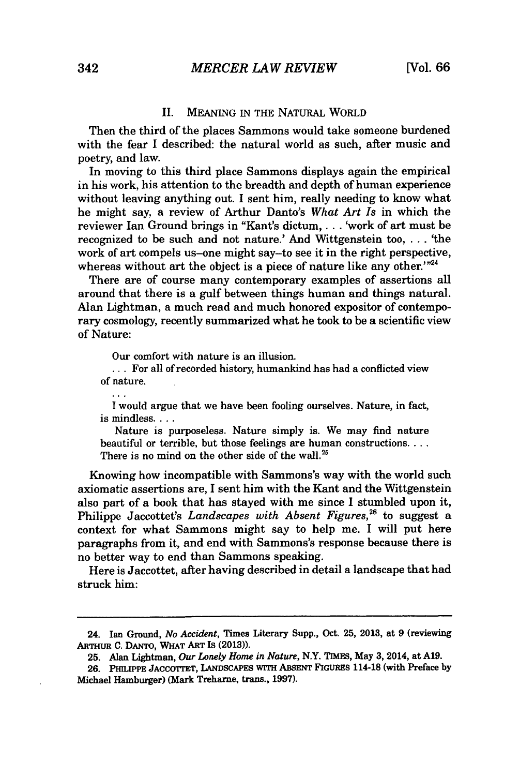#### II. **MEANING** IN THE NATURAL WORLD

Then the third of the places Sammons would take someone burdened with the fear I described: the natural world as such, after music and poetry, and law.

In moving to this third place Sammons displays again the empirical in his work, his attention to the breadth and depth of human experience without leaving anything out. **I** sent him, really needing to know what he might say, a review of Arthur Danto's *What Art Is* in which the reviewer Ian Ground brings in "Kant's dictum,... 'work of art must be recognized to be such and not nature.' And Wittgenstein too, **. . .** 'the work of art compels us-one might say-to see it in the right perspective, whereas without art the object is a piece of nature like any other. $124$ 

There are of course many contemporary examples of assertions all around that there is a gulf between things human and things natural. Alan Lightman, a much read and much honored expositor of contemporary cosmology, recently summarized what he took to be a scientific view of Nature:

Our comfort with nature is an illusion.

**...** For all of recorded history, humankind has had a conflicted view of nature.

**I** would argue that we have been fooling ourselves. Nature, in fact, is mindless....

Nature is purposeless. Nature simply is. We may find nature beautiful or terrible, but those feelings are human constructions.... There is no mind on the other side of the wall.<sup>25</sup>

Knowing how incompatible with Sammons's way with the world such axiomatic assertions are, **I** sent him with the Kant and the Wittgenstein also part of a book that has stayed with me since **I** stumbled upon it, Philippe Jaccottet's *Landscapes with Absent Figures*,<sup>26</sup> to suggest a context for what Sammons might say to help me. I will put here paragraphs from it, and end with Sammons's response because there is no better way to end than Sammons speaking.

Here is Jaccottet, after having described in detail a landscape that had struck him:

 $\mathbf{A}$ 

<sup>24.</sup> Ian Ground, *No Accident,* Times Literary Supp., Oct. **25, 2013,** at **9** (reviewing **ARTHUR C.** DANTo, WHAT ART Is **(2013)).**

**<sup>25.</sup>** Alan Lightman, *Our Lonely Home in Nature,* N.Y. TIMES, May **3,** 2014, at **A19.**

**<sup>26.</sup>** PHILIPPE JACcOTrET, **LANDSCAPES WITH ABSENT FIGURES** 114-18 (with Preface **by** Michael Hamburger) (Mark Treharne, trans., **1997).**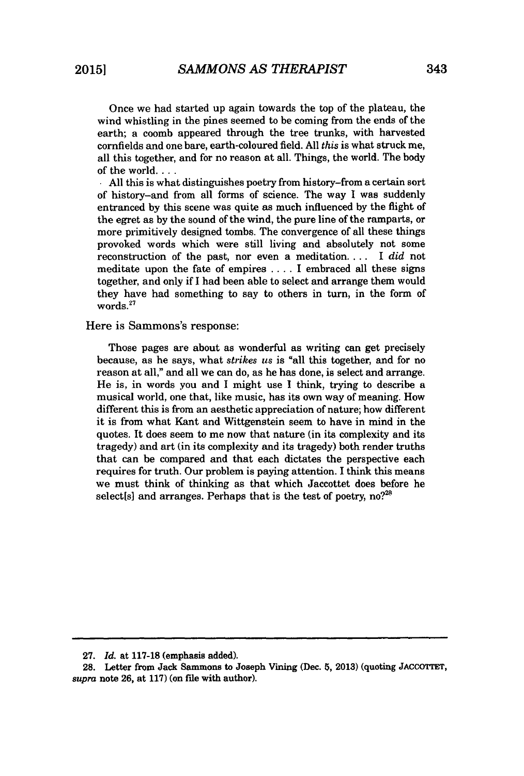Once we had started up again towards the top of the plateau, the wind whistling in the pines seemed to be coming from the ends of the earth; a coomb appeared through the tree trunks, with harvested cornfields and one bare, earth-coloured field. All *this* is what struck me, all this together, and for no reason at all. Things, the world. The body of the world.... **. All** this is what distinguishes poetry from history-from a certain sort

of history-and from all forms of science. The way I was suddenly entranced by this scene was quite as much influenced by the flight of the egret as by the sound of the wind, the pure line of the ramparts, or more primitively designed tombs. The convergence of all these things provoked words which were still living and absolutely not some reconstruction of the past, nor even a meditation.... I *did* not meditate upon the fate of empires .... I embraced all these signs together, and only if I had been able to select and arrange them would they have had something to say to others in turn, in the form of words.<sup>27</sup>

### Here is Sammons's response:

Those pages are about as wonderful as writing can get precisely because, as he says, what *strikes us* is "all this together, and for no reason at all," and all we can do, as he has done, is select and arrange. He is, in words you and I might use I think, trying to describe a musical world, one that, like music, has its own way of meaning. How different this is from an aesthetic appreciation of nature; how different it is from what Kant and Wittgenstein seem to have in mind in the quotes. It does seem to me now that nature (in its complexity and its tragedy) and art (in its complexity and its tragedy) both render truths that can be compared and that each dictates the perspective each requires for truth. Our problem is paying attention. I think this means we must think of thinking as that which Jaccottet does before he select[s] and arranges. Perhaps that is the test of poetry, no?<sup>28</sup>

**<sup>27.</sup>** *Id.* at **117-18** (emphasis added).

**<sup>28.</sup>** Letter from Jack Sammons to Joseph Vining (Dec. **5, 2013)** (quoting **JACCOIrET,** *supra* note **26,** at **117)** (on file with author).